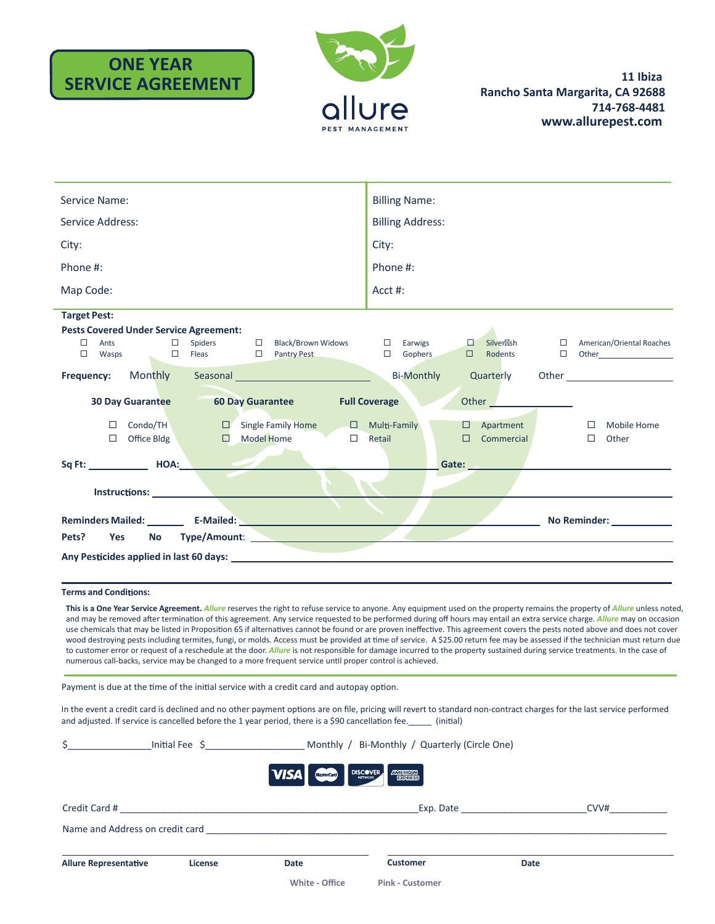# **ONE YEAR SERVICE AGREEMENT**



| Service Name:                                                                                                                                                                                                                 | <b>Billing Name:</b>                                                                                                                                                                                                                                             |  |  |  |
|-------------------------------------------------------------------------------------------------------------------------------------------------------------------------------------------------------------------------------|------------------------------------------------------------------------------------------------------------------------------------------------------------------------------------------------------------------------------------------------------------------|--|--|--|
| <b>Service Address:</b>                                                                                                                                                                                                       | <b>Billing Address:</b>                                                                                                                                                                                                                                          |  |  |  |
| City:                                                                                                                                                                                                                         | City:                                                                                                                                                                                                                                                            |  |  |  |
| Phone #:                                                                                                                                                                                                                      | Phone #:                                                                                                                                                                                                                                                         |  |  |  |
| Map Code:                                                                                                                                                                                                                     | Acct #:                                                                                                                                                                                                                                                          |  |  |  |
| <b>Target Pest:</b>                                                                                                                                                                                                           |                                                                                                                                                                                                                                                                  |  |  |  |
| <b>Pests Covered Under Service Agreement:</b>                                                                                                                                                                                 |                                                                                                                                                                                                                                                                  |  |  |  |
| $\Box$ Spiders<br>□ Black/Brown Widows<br>$\Box$<br>Ants<br>$\Box$ Fleas<br><b>D</b> Pantry Pest<br>$\Box$<br>Wasps                                                                                                           | □ American/Oriental Roaches<br>$\square$ Earwigs<br>口<br>Silver sh<br>$\Box$ Gophers<br>$\Box$<br>Rodents<br>$\Box$ Other                                                                                                                                        |  |  |  |
| Monthly Seasonal <b>Monthly</b><br>Frequency:                                                                                                                                                                                 | <b>Bi-Monthly</b><br>Quarterly<br>Other the contract of the contract of the contract of the contract of the contract of the contract of the contract of the contract of the contract of the contract of the contract of the contract of the contract of the cont |  |  |  |
| 30 Day Guarantee<br><b>60 Day Guarantee</b>                                                                                                                                                                                   | <b>Full Coverage</b>                                                                                                                                                                                                                                             |  |  |  |
| Condo/TH<br>$\Box$ Single Family Home<br>$\Box$<br>$\Box$ Model Home<br>Office Bldg<br>$\Box$<br>$\Box$                                                                                                                       | $\Box$ Multi-Family<br><b>Mobile Home</b><br>$\Box$ Apartment<br>$\Box$<br>Commercial<br>Other<br>Retail<br>$\Box$<br>$\Box$                                                                                                                                     |  |  |  |
|                                                                                                                                                                                                                               | Gate: Sample of the Second Second Second Second Second Second Second Second Second Second Second Second Second                                                                                                                                                   |  |  |  |
|                                                                                                                                                                                                                               |                                                                                                                                                                                                                                                                  |  |  |  |
|                                                                                                                                                                                                                               | No Reminder:                                                                                                                                                                                                                                                     |  |  |  |
| No Type/Amount:<br>Pets?<br><b>Yes</b>                                                                                                                                                                                        |                                                                                                                                                                                                                                                                  |  |  |  |
| Any Pesticides applied in last 60 days: New York Change and Separate Separate Separate Separate Separate Separate Separate Separate Separate Separate Separate Separate Separate Separate Separate Separate Separate Separate |                                                                                                                                                                                                                                                                  |  |  |  |

#### **Terms and Conditions:**

This is a One Year Service Agreement. Allure reserves the right to refuse service to anyone. Any equipment used on the property remains the property of Allure unless noted, and may be removed after termination of this agreement. Any service requested to be performed during off hours may entail an extra service charge. Allure may on occasion use chemicals that may be listed in Proposition 65 if alternatives cannot be found or are proven ineffective. This agreement covers the pests noted above and does not cover wood destroying pests including termites, fungi, or molds. Access must be provided at time of service. A \$25.00 return fee may be assessed if the technician must return due to customer error or request of a reschedule at the door. Allure is not responsible for damage incurred to the property sustained during service treatments. In the case of numerous call-backs, service may be changed to a more frequent service until proper control is achieved.

Payment is due at the time of the initial service with a credit card and autopay option.

In the event a credit card is declined and no other payment options are on file, pricing will revert to standard non-contract charges for the last service performed and adjusted. If service is cancelled before the 1 year period, there is a \$90 cancellation fee. (initial)

| Ś.                              | Initial Fee $\frac{2}{3}$ [100] | Monthly / Bi-Monthly / Quarterly (Circle One) |                                       |                                                                                                                                                                                                                                |      |
|---------------------------------|---------------------------------|-----------------------------------------------|---------------------------------------|--------------------------------------------------------------------------------------------------------------------------------------------------------------------------------------------------------------------------------|------|
|                                 |                                 | <b>VISA</b><br><b>MasterCard</b>              | <b>DISCOVER</b><br><b>EXPLANATION</b> |                                                                                                                                                                                                                                |      |
| Credit Card #                   |                                 |                                               |                                       | Exp. Date that the same state of the state of the state of the state of the state of the state of the state of the state of the state of the state of the state of the state of the state of the state of the state of the sta | CVV# |
| Name and Address on credit card |                                 |                                               |                                       |                                                                                                                                                                                                                                |      |
| <b>Allure Representative</b>    | License                         | Date                                          | <b>Customer</b>                       | Date                                                                                                                                                                                                                           |      |
|                                 |                                 | White - Office                                | <b>Pink - Customer</b>                |                                                                                                                                                                                                                                |      |